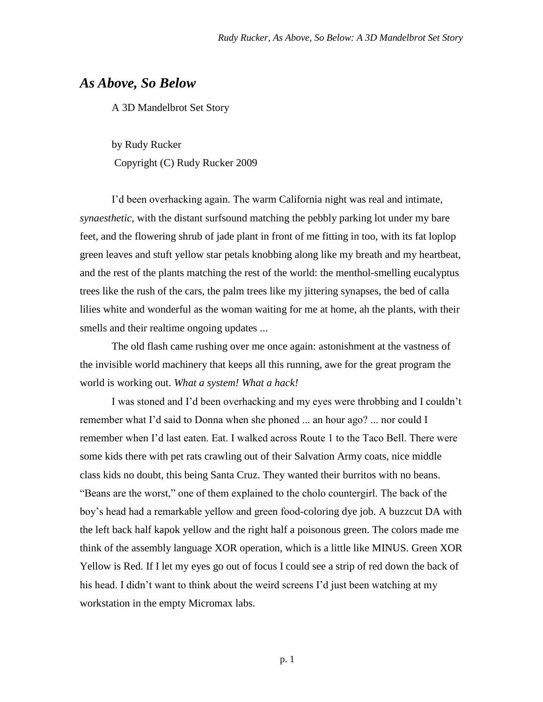## *As Above, So Below*

A 3D Mandelbrot Set Story

by Rudy Rucker Copyright (C) Rudy Rucker 2009

I"d been overhacking again. The warm California night was real and intimate, *synaesthetic*, with the distant surfsound matching the pebbly parking lot under my bare feet, and the flowering shrub of jade plant in front of me fitting in too, with its fat loplop green leaves and stuft yellow star petals knobbing along like my breath and my heartbeat, and the rest of the plants matching the rest of the world: the menthol-smelling eucalyptus trees like the rush of the cars, the palm trees like my jittering synapses, the bed of calla lilies white and wonderful as the woman waiting for me at home, ah the plants, with their smells and their realtime ongoing updates ...

The old flash came rushing over me once again: astonishment at the vastness of the invisible world machinery that keeps all this running, awe for the great program the world is working out. *What a system! What a hack!*

I was stoned and I"d been overhacking and my eyes were throbbing and I couldn"t remember what I"d said to Donna when she phoned ... an hour ago? ... nor could I remember when I"d last eaten. Eat. I walked across Route 1 to the Taco Bell. There were some kids there with pet rats crawling out of their Salvation Army coats, nice middle class kids no doubt, this being Santa Cruz. They wanted their burritos with no beans. "Beans are the worst," one of them explained to the cholo countergirl. The back of the boy"s head had a remarkable yellow and green food-coloring dye job. A buzzcut DA with the left back half kapok yellow and the right half a poisonous green. The colors made me think of the assembly language XOR operation, which is a little like MINUS. Green XOR Yellow is Red. If I let my eyes go out of focus I could see a strip of red down the back of his head. I didn't want to think about the weird screens I'd just been watching at my workstation in the empty Micromax labs.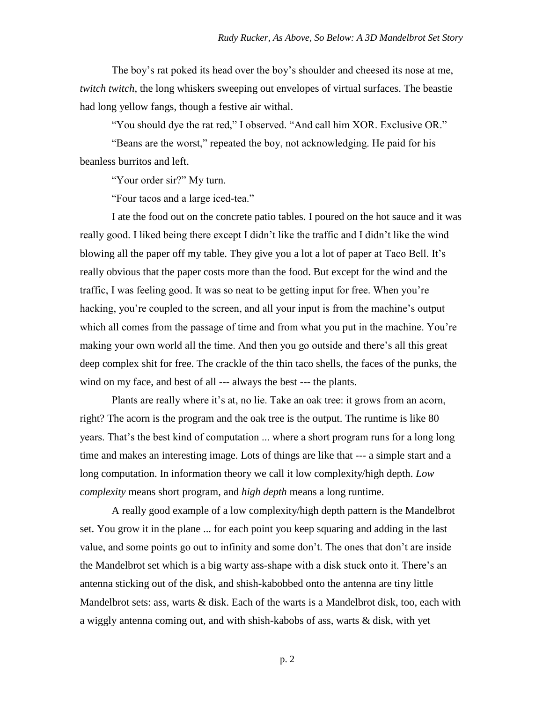The boy"s rat poked its head over the boy"s shoulder and cheesed its nose at me, *twitch twitch*, the long whiskers sweeping out envelopes of virtual surfaces. The beastie had long yellow fangs, though a festive air withal.

"You should dye the rat red," I observed. "And call him XOR. Exclusive OR."

"Beans are the worst," repeated the boy, not acknowledging. He paid for his beanless burritos and left.

"Your order sir?" My turn.

"Four tacos and a large iced-tea."

I ate the food out on the concrete patio tables. I poured on the hot sauce and it was really good. I liked being there except I didn"t like the traffic and I didn"t like the wind blowing all the paper off my table. They give you a lot a lot of paper at Taco Bell. It's really obvious that the paper costs more than the food. But except for the wind and the traffic, I was feeling good. It was so neat to be getting input for free. When you"re hacking, you're coupled to the screen, and all your input is from the machine's output which all comes from the passage of time and from what you put in the machine. You're making your own world all the time. And then you go outside and there"s all this great deep complex shit for free. The crackle of the thin taco shells, the faces of the punks, the wind on my face, and best of all --- always the best --- the plants.

Plants are really where it's at, no lie. Take an oak tree: it grows from an acorn, right? The acorn is the program and the oak tree is the output. The runtime is like 80 years. That's the best kind of computation ... where a short program runs for a long long time and makes an interesting image. Lots of things are like that --- a simple start and a long computation. In information theory we call it low complexity/high depth. *Low complexity* means short program, and *high depth* means a long runtime.

A really good example of a low complexity/high depth pattern is the Mandelbrot set. You grow it in the plane ... for each point you keep squaring and adding in the last value, and some points go out to infinity and some don"t. The ones that don"t are inside the Mandelbrot set which is a big warty ass-shape with a disk stuck onto it. There"s an antenna sticking out of the disk, and shish-kabobbed onto the antenna are tiny little Mandelbrot sets: ass, warts & disk. Each of the warts is a Mandelbrot disk, too, each with a wiggly antenna coming out, and with shish-kabobs of ass, warts & disk, with yet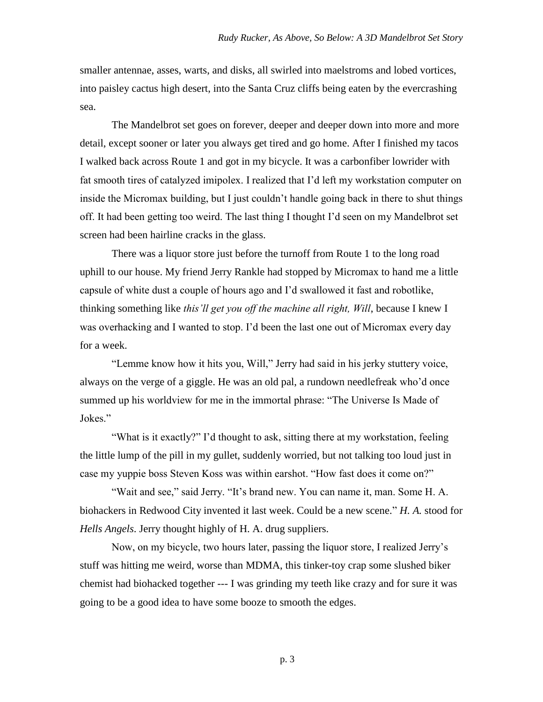smaller antennae, asses, warts, and disks, all swirled into maelstroms and lobed vortices, into paisley cactus high desert, into the Santa Cruz cliffs being eaten by the evercrashing sea.

The Mandelbrot set goes on forever, deeper and deeper down into more and more detail, except sooner or later you always get tired and go home. After I finished my tacos I walked back across Route 1 and got in my bicycle. It was a carbonfiber lowrider with fat smooth tires of catalyzed imipolex. I realized that I"d left my workstation computer on inside the Micromax building, but I just couldn"t handle going back in there to shut things off. It had been getting too weird. The last thing I thought I"d seen on my Mandelbrot set screen had been hairline cracks in the glass.

There was a liquor store just before the turnoff from Route 1 to the long road uphill to our house. My friend Jerry Rankle had stopped by Micromax to hand me a little capsule of white dust a couple of hours ago and I"d swallowed it fast and robotlike, thinking something like *this'll get you off the machine all right, Will*, because I knew I was overhacking and I wanted to stop. I"d been the last one out of Micromax every day for a week.

"Lemme know how it hits you, Will," Jerry had said in his jerky stuttery voice, always on the verge of a giggle. He was an old pal, a rundown needlefreak who"d once summed up his worldview for me in the immortal phrase: "The Universe Is Made of Jokes."

"What is it exactly?" I"d thought to ask, sitting there at my workstation, feeling the little lump of the pill in my gullet, suddenly worried, but not talking too loud just in case my yuppie boss Steven Koss was within earshot. "How fast does it come on?"

"Wait and see," said Jerry. "It"s brand new. You can name it, man. Some H. A. biohackers in Redwood City invented it last week. Could be a new scene." *H. A.* stood for *Hells Angels*. Jerry thought highly of H. A. drug suppliers.

Now, on my bicycle, two hours later, passing the liquor store, I realized Jerry"s stuff was hitting me weird, worse than MDMA, this tinker-toy crap some slushed biker chemist had biohacked together --- I was grinding my teeth like crazy and for sure it was going to be a good idea to have some booze to smooth the edges.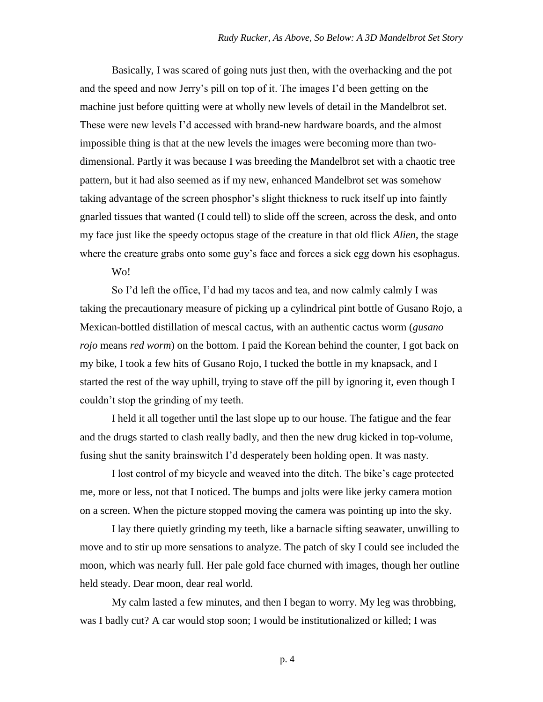Basically, I was scared of going nuts just then, with the overhacking and the pot and the speed and now Jerry"s pill on top of it. The images I"d been getting on the machine just before quitting were at wholly new levels of detail in the Mandelbrot set. These were new levels I"d accessed with brand-new hardware boards, and the almost impossible thing is that at the new levels the images were becoming more than twodimensional. Partly it was because I was breeding the Mandelbrot set with a chaotic tree pattern, but it had also seemed as if my new, enhanced Mandelbrot set was somehow taking advantage of the screen phosphor"s slight thickness to ruck itself up into faintly gnarled tissues that wanted (I could tell) to slide off the screen, across the desk, and onto my face just like the speedy octopus stage of the creature in that old flick *Alien*, the stage where the creature grabs onto some guy's face and forces a sick egg down his esophagus.

## Wo!

So I"d left the office, I"d had my tacos and tea, and now calmly calmly I was taking the precautionary measure of picking up a cylindrical pint bottle of Gusano Rojo, a Mexican-bottled distillation of mescal cactus, with an authentic cactus worm (*gusano rojo* means *red worm*) on the bottom. I paid the Korean behind the counter, I got back on my bike, I took a few hits of Gusano Rojo, I tucked the bottle in my knapsack, and I started the rest of the way uphill, trying to stave off the pill by ignoring it, even though I couldn"t stop the grinding of my teeth.

I held it all together until the last slope up to our house. The fatigue and the fear and the drugs started to clash really badly, and then the new drug kicked in top-volume, fusing shut the sanity brainswitch I"d desperately been holding open. It was nasty.

I lost control of my bicycle and weaved into the ditch. The bike"s cage protected me, more or less, not that I noticed. The bumps and jolts were like jerky camera motion on a screen. When the picture stopped moving the camera was pointing up into the sky.

I lay there quietly grinding my teeth, like a barnacle sifting seawater, unwilling to move and to stir up more sensations to analyze. The patch of sky I could see included the moon, which was nearly full. Her pale gold face churned with images, though her outline held steady. Dear moon, dear real world.

My calm lasted a few minutes, and then I began to worry. My leg was throbbing, was I badly cut? A car would stop soon; I would be institutionalized or killed; I was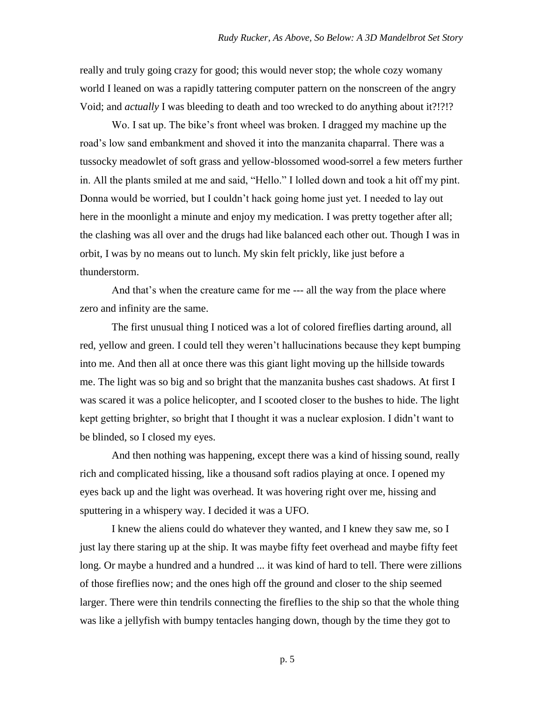really and truly going crazy for good; this would never stop; the whole cozy womany world I leaned on was a rapidly tattering computer pattern on the nonscreen of the angry Void; and *actually* I was bleeding to death and too wrecked to do anything about it?!?!?

Wo. I sat up. The bike's front wheel was broken. I dragged my machine up the road"s low sand embankment and shoved it into the manzanita chaparral. There was a tussocky meadowlet of soft grass and yellow-blossomed wood-sorrel a few meters further in. All the plants smiled at me and said, "Hello." I lolled down and took a hit off my pint. Donna would be worried, but I couldn"t hack going home just yet. I needed to lay out here in the moonlight a minute and enjoy my medication. I was pretty together after all; the clashing was all over and the drugs had like balanced each other out. Though I was in orbit, I was by no means out to lunch. My skin felt prickly, like just before a thunderstorm.

And that's when the creature came for me --- all the way from the place where zero and infinity are the same.

The first unusual thing I noticed was a lot of colored fireflies darting around, all red, yellow and green. I could tell they weren"t hallucinations because they kept bumping into me. And then all at once there was this giant light moving up the hillside towards me. The light was so big and so bright that the manzanita bushes cast shadows. At first I was scared it was a police helicopter, and I scooted closer to the bushes to hide. The light kept getting brighter, so bright that I thought it was a nuclear explosion. I didn"t want to be blinded, so I closed my eyes.

And then nothing was happening, except there was a kind of hissing sound, really rich and complicated hissing, like a thousand soft radios playing at once. I opened my eyes back up and the light was overhead. It was hovering right over me, hissing and sputtering in a whispery way. I decided it was a UFO.

I knew the aliens could do whatever they wanted, and I knew they saw me, so I just lay there staring up at the ship. It was maybe fifty feet overhead and maybe fifty feet long. Or maybe a hundred and a hundred ... it was kind of hard to tell. There were zillions of those fireflies now; and the ones high off the ground and closer to the ship seemed larger. There were thin tendrils connecting the fireflies to the ship so that the whole thing was like a jellyfish with bumpy tentacles hanging down, though by the time they got to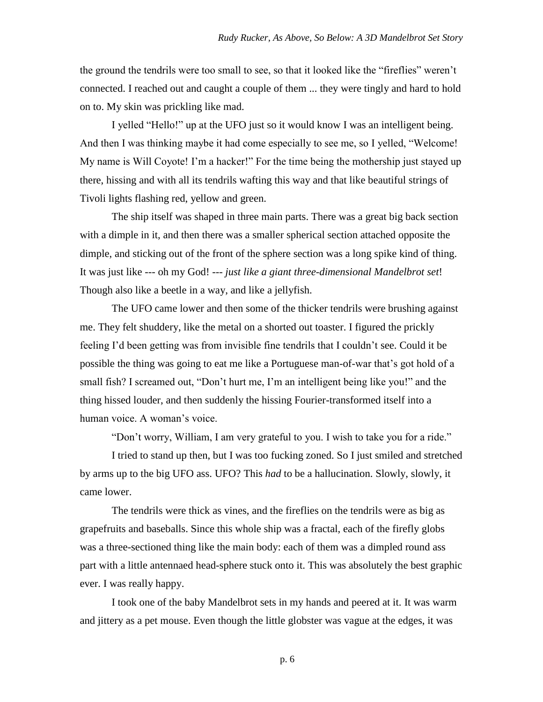the ground the tendrils were too small to see, so that it looked like the "fireflies" weren"t connected. I reached out and caught a couple of them ... they were tingly and hard to hold on to. My skin was prickling like mad.

I yelled "Hello!" up at the UFO just so it would know I was an intelligent being. And then I was thinking maybe it had come especially to see me, so I yelled, "Welcome! My name is Will Coyote! I'm a hacker!" For the time being the mothership just stayed up there, hissing and with all its tendrils wafting this way and that like beautiful strings of Tivoli lights flashing red, yellow and green.

The ship itself was shaped in three main parts. There was a great big back section with a dimple in it, and then there was a smaller spherical section attached opposite the dimple, and sticking out of the front of the sphere section was a long spike kind of thing. It was just like --- oh my God! --- *just like a giant three-dimensional Mandelbrot set*! Though also like a beetle in a way, and like a jellyfish.

The UFO came lower and then some of the thicker tendrils were brushing against me. They felt shuddery, like the metal on a shorted out toaster. I figured the prickly feeling I'd been getting was from invisible fine tendrils that I couldn't see. Could it be possible the thing was going to eat me like a Portuguese man-of-war that's got hold of a small fish? I screamed out, "Don't hurt me, I'm an intelligent being like you!" and the thing hissed louder, and then suddenly the hissing Fourier-transformed itself into a human voice. A woman"s voice.

"Don"t worry, William, I am very grateful to you. I wish to take you for a ride."

I tried to stand up then, but I was too fucking zoned. So I just smiled and stretched by arms up to the big UFO ass. UFO? This *had* to be a hallucination. Slowly, slowly, it came lower.

The tendrils were thick as vines, and the fireflies on the tendrils were as big as grapefruits and baseballs. Since this whole ship was a fractal, each of the firefly globs was a three-sectioned thing like the main body: each of them was a dimpled round ass part with a little antennaed head-sphere stuck onto it. This was absolutely the best graphic ever. I was really happy.

I took one of the baby Mandelbrot sets in my hands and peered at it. It was warm and jittery as a pet mouse. Even though the little globster was vague at the edges, it was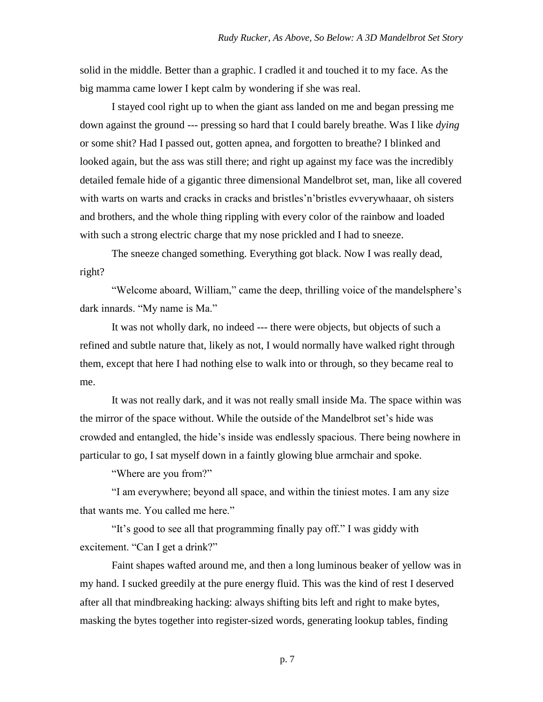solid in the middle. Better than a graphic. I cradled it and touched it to my face. As the big mamma came lower I kept calm by wondering if she was real.

I stayed cool right up to when the giant ass landed on me and began pressing me down against the ground --- pressing so hard that I could barely breathe. Was I like *dying* or some shit? Had I passed out, gotten apnea, and forgotten to breathe? I blinked and looked again, but the ass was still there; and right up against my face was the incredibly detailed female hide of a gigantic three dimensional Mandelbrot set, man, like all covered with warts on warts and cracks in cracks and bristles'n'bristles evverywhaaar, oh sisters and brothers, and the whole thing rippling with every color of the rainbow and loaded with such a strong electric charge that my nose prickled and I had to sneeze.

The sneeze changed something. Everything got black. Now I was really dead, right?

"Welcome aboard, William," came the deep, thrilling voice of the mandelsphere's dark innards. "My name is Ma."

It was not wholly dark, no indeed --- there were objects, but objects of such a refined and subtle nature that, likely as not, I would normally have walked right through them, except that here I had nothing else to walk into or through, so they became real to me.

It was not really dark, and it was not really small inside Ma. The space within was the mirror of the space without. While the outside of the Mandelbrot set"s hide was crowded and entangled, the hide"s inside was endlessly spacious. There being nowhere in particular to go, I sat myself down in a faintly glowing blue armchair and spoke.

"Where are you from?"

"I am everywhere; beyond all space, and within the tiniest motes. I am any size that wants me. You called me here."

"It"s good to see all that programming finally pay off." I was giddy with excitement. "Can I get a drink?"

Faint shapes wafted around me, and then a long luminous beaker of yellow was in my hand. I sucked greedily at the pure energy fluid. This was the kind of rest I deserved after all that mindbreaking hacking: always shifting bits left and right to make bytes, masking the bytes together into register-sized words, generating lookup tables, finding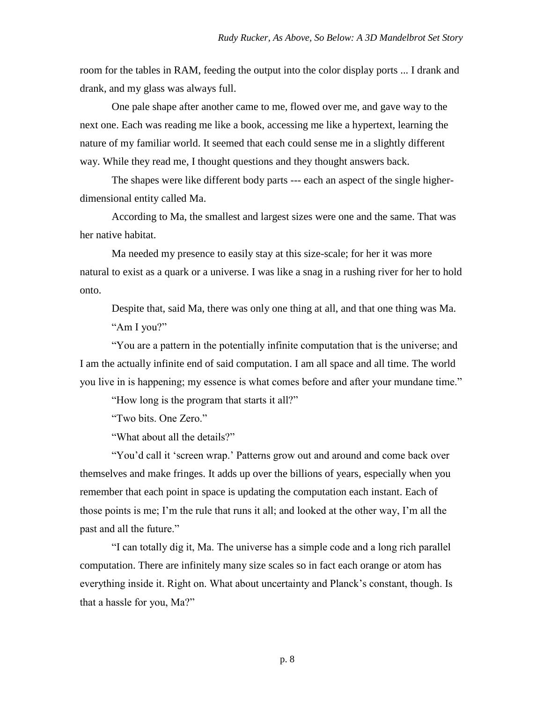room for the tables in RAM, feeding the output into the color display ports ... I drank and drank, and my glass was always full.

One pale shape after another came to me, flowed over me, and gave way to the next one. Each was reading me like a book, accessing me like a hypertext, learning the nature of my familiar world. It seemed that each could sense me in a slightly different way. While they read me, I thought questions and they thought answers back.

The shapes were like different body parts --- each an aspect of the single higherdimensional entity called Ma.

According to Ma, the smallest and largest sizes were one and the same. That was her native habitat.

Ma needed my presence to easily stay at this size-scale; for her it was more natural to exist as a quark or a universe. I was like a snag in a rushing river for her to hold onto.

Despite that, said Ma, there was only one thing at all, and that one thing was Ma. "Am I you?"

"You are a pattern in the potentially infinite computation that is the universe; and I am the actually infinite end of said computation. I am all space and all time. The world you live in is happening; my essence is what comes before and after your mundane time."

"How long is the program that starts it all?"

"Two bits. One Zero."

"What about all the details?"

"You"d call it "screen wrap." Patterns grow out and around and come back over themselves and make fringes. It adds up over the billions of years, especially when you remember that each point in space is updating the computation each instant. Each of those points is me; I"m the rule that runs it all; and looked at the other way, I"m all the past and all the future."

"I can totally dig it, Ma. The universe has a simple code and a long rich parallel computation. There are infinitely many size scales so in fact each orange or atom has everything inside it. Right on. What about uncertainty and Planck's constant, though. Is that a hassle for you, Ma?"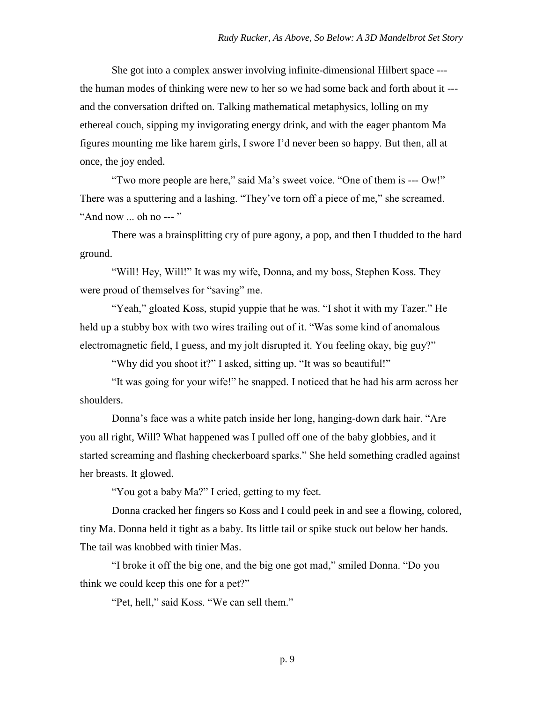She got into a complex answer involving infinite-dimensional Hilbert space -- the human modes of thinking were new to her so we had some back and forth about it -- and the conversation drifted on. Talking mathematical metaphysics, lolling on my ethereal couch, sipping my invigorating energy drink, and with the eager phantom Ma figures mounting me like harem girls, I swore I"d never been so happy. But then, all at once, the joy ended.

"Two more people are here," said Ma's sweet voice. "One of them is --- Ow!" There was a sputtering and a lashing. "They've torn off a piece of me," she screamed. "And now ... oh no --- "

There was a brainsplitting cry of pure agony, a pop, and then I thudded to the hard ground.

"Will! Hey, Will!" It was my wife, Donna, and my boss, Stephen Koss. They were proud of themselves for "saving" me.

"Yeah," gloated Koss, stupid yuppie that he was. "I shot it with my Tazer." He held up a stubby box with two wires trailing out of it. "Was some kind of anomalous electromagnetic field, I guess, and my jolt disrupted it. You feeling okay, big guy?"

"Why did you shoot it?" I asked, sitting up. "It was so beautiful!"

"It was going for your wife!" he snapped. I noticed that he had his arm across her shoulders.

Donna"s face was a white patch inside her long, hanging-down dark hair. "Are you all right, Will? What happened was I pulled off one of the baby globbies, and it started screaming and flashing checkerboard sparks." She held something cradled against her breasts. It glowed.

"You got a baby Ma?" I cried, getting to my feet.

Donna cracked her fingers so Koss and I could peek in and see a flowing, colored, tiny Ma. Donna held it tight as a baby. Its little tail or spike stuck out below her hands. The tail was knobbed with tinier Mas.

"I broke it off the big one, and the big one got mad," smiled Donna. "Do you think we could keep this one for a pet?"

"Pet, hell," said Koss. "We can sell them."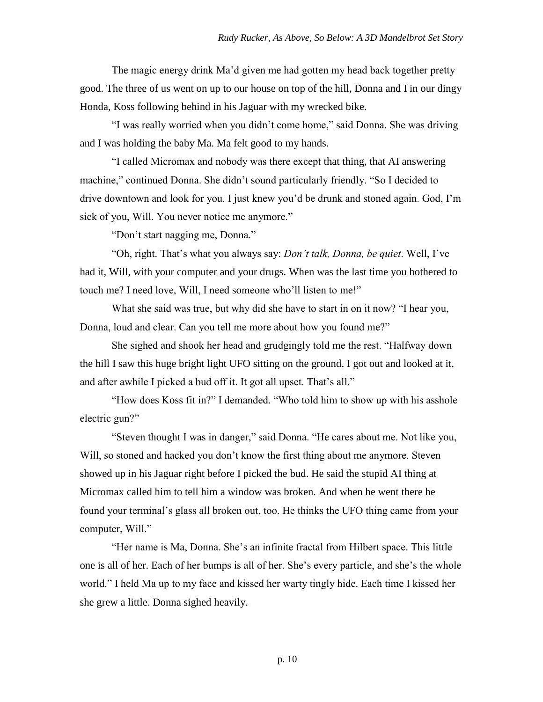The magic energy drink Ma"d given me had gotten my head back together pretty good. The three of us went on up to our house on top of the hill, Donna and I in our dingy Honda, Koss following behind in his Jaguar with my wrecked bike.

"I was really worried when you didn"t come home," said Donna. She was driving and I was holding the baby Ma. Ma felt good to my hands.

"I called Micromax and nobody was there except that thing, that AI answering machine," continued Donna. She didn"t sound particularly friendly. "So I decided to drive downtown and look for you. I just knew you"d be drunk and stoned again. God, I"m sick of you, Will. You never notice me anymore."

"Don"t start nagging me, Donna."

"Oh, right. That"s what you always say: *Don't talk, Donna, be quiet*. Well, I"ve had it, Will, with your computer and your drugs. When was the last time you bothered to touch me? I need love, Will, I need someone who"ll listen to me!"

What she said was true, but why did she have to start in on it now? "I hear you, Donna, loud and clear. Can you tell me more about how you found me?"

She sighed and shook her head and grudgingly told me the rest. "Halfway down the hill I saw this huge bright light UFO sitting on the ground. I got out and looked at it, and after awhile I picked a bud off it. It got all upset. That's all."

"How does Koss fit in?" I demanded. "Who told him to show up with his asshole electric gun?"

"Steven thought I was in danger," said Donna. "He cares about me. Not like you, Will, so stoned and hacked you don't know the first thing about me anymore. Steven showed up in his Jaguar right before I picked the bud. He said the stupid AI thing at Micromax called him to tell him a window was broken. And when he went there he found your terminal's glass all broken out, too. He thinks the UFO thing came from your computer, Will."

"Her name is Ma, Donna. She"s an infinite fractal from Hilbert space. This little one is all of her. Each of her bumps is all of her. She"s every particle, and she"s the whole world." I held Ma up to my face and kissed her warty tingly hide. Each time I kissed her she grew a little. Donna sighed heavily.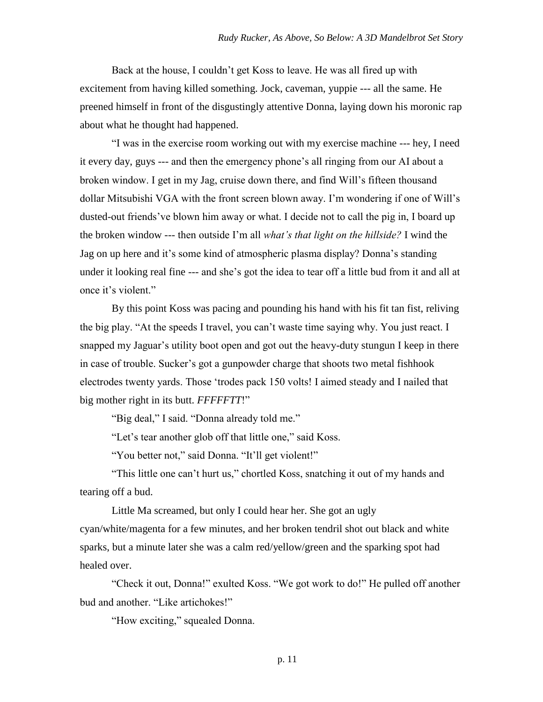Back at the house, I couldn"t get Koss to leave. He was all fired up with excitement from having killed something. Jock, caveman, yuppie --- all the same. He preened himself in front of the disgustingly attentive Donna, laying down his moronic rap about what he thought had happened.

"I was in the exercise room working out with my exercise machine --- hey, I need it every day, guys --- and then the emergency phone"s all ringing from our AI about a broken window. I get in my Jag, cruise down there, and find Will"s fifteen thousand dollar Mitsubishi VGA with the front screen blown away. I"m wondering if one of Will"s dusted-out friends've blown him away or what. I decide not to call the pig in, I board up the broken window --- then outside I"m all *what's that light on the hillside?* I wind the Jag on up here and it's some kind of atmospheric plasma display? Donna's standing under it looking real fine --- and she"s got the idea to tear off a little bud from it and all at once it's violent."

By this point Koss was pacing and pounding his hand with his fit tan fist, reliving the big play. "At the speeds I travel, you can"t waste time saying why. You just react. I snapped my Jaguar's utility boot open and got out the heavy-duty stungun I keep in there in case of trouble. Sucker"s got a gunpowder charge that shoots two metal fishhook electrodes twenty yards. Those "trodes pack 150 volts! I aimed steady and I nailed that big mother right in its butt. *FFFFFTT*!"

"Big deal," I said. "Donna already told me."

"Let"s tear another glob off that little one," said Koss.

"You better not," said Donna. "It"ll get violent!"

"This little one can"t hurt us," chortled Koss, snatching it out of my hands and tearing off a bud.

Little Ma screamed, but only I could hear her. She got an ugly cyan/white/magenta for a few minutes, and her broken tendril shot out black and white sparks, but a minute later she was a calm red/yellow/green and the sparking spot had healed over.

"Check it out, Donna!" exulted Koss. "We got work to do!" He pulled off another bud and another. "Like artichokes!"

"How exciting," squealed Donna.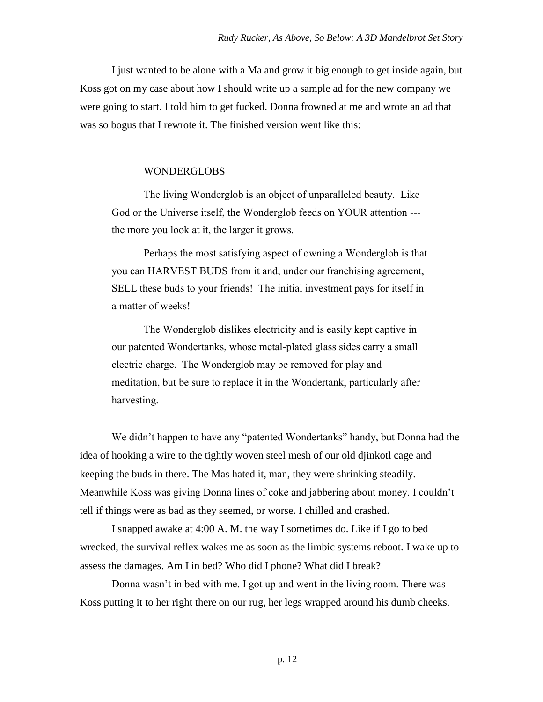I just wanted to be alone with a Ma and grow it big enough to get inside again, but Koss got on my case about how I should write up a sample ad for the new company we were going to start. I told him to get fucked. Donna frowned at me and wrote an ad that was so bogus that I rewrote it. The finished version went like this:

## WONDERGLOBS

The living Wonderglob is an object of unparalleled beauty. Like God or the Universe itself, the Wonderglob feeds on YOUR attention -- the more you look at it, the larger it grows.

Perhaps the most satisfying aspect of owning a Wonderglob is that you can HARVEST BUDS from it and, under our franchising agreement, SELL these buds to your friends! The initial investment pays for itself in a matter of weeks!

The Wonderglob dislikes electricity and is easily kept captive in our patented Wondertanks, whose metal-plated glass sides carry a small electric charge. The Wonderglob may be removed for play and meditation, but be sure to replace it in the Wondertank, particularly after harvesting.

We didn't happen to have any "patented Wondertanks" handy, but Donna had the idea of hooking a wire to the tightly woven steel mesh of our old djinkotl cage and keeping the buds in there. The Mas hated it, man, they were shrinking steadily. Meanwhile Koss was giving Donna lines of coke and jabbering about money. I couldn"t tell if things were as bad as they seemed, or worse. I chilled and crashed.

I snapped awake at 4:00 A. M. the way I sometimes do. Like if I go to bed wrecked, the survival reflex wakes me as soon as the limbic systems reboot. I wake up to assess the damages. Am I in bed? Who did I phone? What did I break?

Donna wasn't in bed with me. I got up and went in the living room. There was Koss putting it to her right there on our rug, her legs wrapped around his dumb cheeks.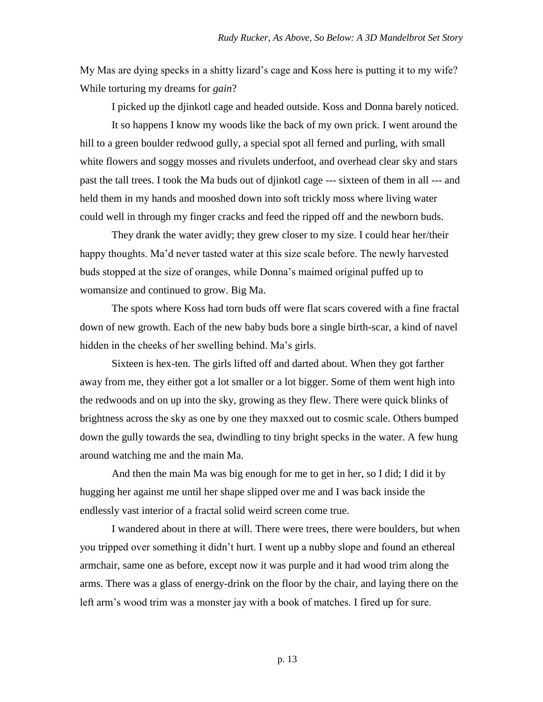My Mas are dying specks in a shitty lizard"s cage and Koss here is putting it to my wife? While torturing my dreams for *gain*?

I picked up the djinkotl cage and headed outside. Koss and Donna barely noticed.

It so happens I know my woods like the back of my own prick. I went around the hill to a green boulder redwood gully, a special spot all ferned and purling, with small white flowers and soggy mosses and rivulets underfoot, and overhead clear sky and stars past the tall trees. I took the Ma buds out of djinkotl cage --- sixteen of them in all --- and held them in my hands and mooshed down into soft trickly moss where living water could well in through my finger cracks and feed the ripped off and the newborn buds.

They drank the water avidly; they grew closer to my size. I could hear her/their happy thoughts. Ma'd never tasted water at this size scale before. The newly harvested buds stopped at the size of oranges, while Donna"s maimed original puffed up to womansize and continued to grow. Big Ma.

The spots where Koss had torn buds off were flat scars covered with a fine fractal down of new growth. Each of the new baby buds bore a single birth-scar, a kind of navel hidden in the cheeks of her swelling behind. Ma's girls.

Sixteen is hex-ten. The girls lifted off and darted about. When they got farther away from me, they either got a lot smaller or a lot bigger. Some of them went high into the redwoods and on up into the sky, growing as they flew. There were quick blinks of brightness across the sky as one by one they maxxed out to cosmic scale. Others bumped down the gully towards the sea, dwindling to tiny bright specks in the water. A few hung around watching me and the main Ma.

And then the main Ma was big enough for me to get in her, so I did; I did it by hugging her against me until her shape slipped over me and I was back inside the endlessly vast interior of a fractal solid weird screen come true.

I wandered about in there at will. There were trees, there were boulders, but when you tripped over something it didn"t hurt. I went up a nubby slope and found an ethereal armchair, same one as before, except now it was purple and it had wood trim along the arms. There was a glass of energy-drink on the floor by the chair, and laying there on the left arm's wood trim was a monster jay with a book of matches. I fired up for sure.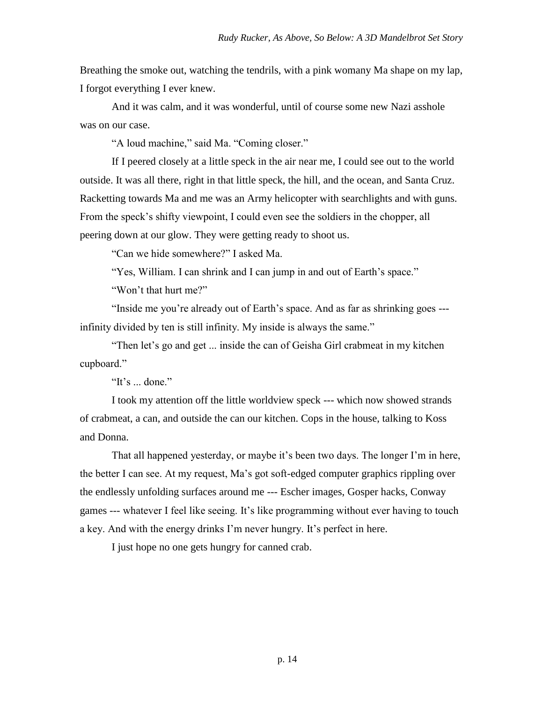Breathing the smoke out, watching the tendrils, with a pink womany Ma shape on my lap, I forgot everything I ever knew.

And it was calm, and it was wonderful, until of course some new Nazi asshole was on our case.

"A loud machine," said Ma. "Coming closer."

If I peered closely at a little speck in the air near me, I could see out to the world outside. It was all there, right in that little speck, the hill, and the ocean, and Santa Cruz. Racketting towards Ma and me was an Army helicopter with searchlights and with guns. From the speck's shifty viewpoint, I could even see the soldiers in the chopper, all peering down at our glow. They were getting ready to shoot us.

"Can we hide somewhere?" I asked Ma.

"Yes, William. I can shrink and I can jump in and out of Earth's space."

"Won"t that hurt me?"

"Inside me you"re already out of Earth"s space. And as far as shrinking goes -- infinity divided by ten is still infinity. My inside is always the same."

"Then let's go and get ... inside the can of Geisha Girl crabmeat in my kitchen cupboard."

"It's  $\cdot$  done."

I took my attention off the little worldview speck --- which now showed strands of crabmeat, a can, and outside the can our kitchen. Cops in the house, talking to Koss and Donna.

That all happened yesterday, or maybe it's been two days. The longer I'm in here, the better I can see. At my request, Ma"s got soft-edged computer graphics rippling over the endlessly unfolding surfaces around me --- Escher images, Gosper hacks, Conway games --- whatever I feel like seeing. It"s like programming without ever having to touch a key. And with the energy drinks I'm never hungry. It's perfect in here.

I just hope no one gets hungry for canned crab.